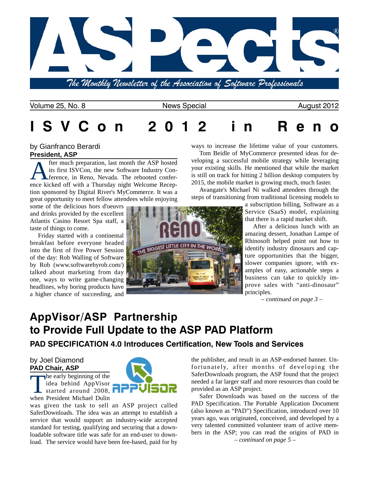

The Monthly Newsletter of the Association of Software Professionals

Volume 25, No. 8 News Special August 2012

# **I S V C o n 2 0 1 2 i n R e n o**

#### by Gianfranco Berardi **President, ASP**

fter much preparation, last month the ASP hosted its first ISVCon, the new Software Industry Conference, in Reno, Nevada. The rebooted conference kicked off with a Thursday night Welcome Reception sponsored by Digital River's MyCommerce. It was a great opportunity to meet fellow attendees while enjoying

some of the delicious hors d'oeuvrs and drinks provided by the excellent Atlantis Casino Resort Spa staff, a taste of things to come.

Friday started with a continental breakfast before everyone headed into the first of five Power Session of the day: Rob Walling of Software by Rob [\(www.softwarebyrob.com/\)](http://www.softwarebyrob.com/) talked about marketing from day one, ways to write game-changing headlines, why boring products have a higher chance of succeeding, and



ways to increase the lifetime value of your customers.

Tom Beidle of MyCommerce presented ideas for developing a successful mobile strategy while leveraging your existing skills. He mentioned that while the market is still on track for hitting 2 billion desktop computers by 2015, the mobile market is growing much, much faster.

Avangate's Michael Ni walked attendees through the steps of transitioning from traditional licensing models to

> a subscription billing, Software as a Service (SaaS) model, explaining that there is a rapid market shift.

> After a delicious lunch with an amazing dessert, Jonathan Lampe of Rhinosoft helped point out how to identify industry dinosaurs and capture opportunities that the bigger, slower companies ignore, with examples of easy, actionable steps a business can take to quickly improve sales with "anti-dinosaur" principles.

> > *– continued on page 3 –*

## **AppVisor/ASP Partnership to Provide Full Update to the ASP PAD Platform PAD SPECIFICATION 4.0 Introduces Certification, New Tools and Services**

### by Joel Diamond **PAD Chair, ASP**

The early beginning of the idea behind AppVisor started around 2008. when President Michael Dulin

was given the task to sell an ASP project called SaferDownloads. The idea was an attempt to establish a service that would support an industry-wide accepted standard for testing, qualifying and securing that a downloadable software title was safe for an end-user to download. The service would have been fee-based, paid for by the publisher, and result in an ASP-endorsed banner. Unfortunately, after months of developing the SaferDownloads program, the ASP found that the project needed a far larger staff and more resources than could be provided as an ASP project.

Safer Downloads was based on the success of the PAD Specification. The Portable Application Document (also known as "PAD") Specification, introduced over 10 years ago, was originated, conceived, and developed by a very talented committed volunteer team of active members in the ASP; you can read the origins of PAD in *– continued on page 5 –*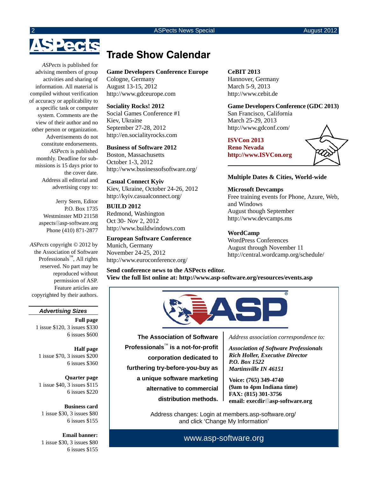# Pects

*ASPects* is published for advising members of group activities and sharing of information. All material is compiled without verification of accuracy or applicability to a specific task or computer system. Comments are the view of their author and no other person or organization. Advertisements do not constitute endorsements. *ASPects* is published monthly. Deadline for submissions is 15 days prior to the cover date. Address all editorial and advertising copy to:

> Jerry Stern, Editor P.O. Box 1735 Westminster MD 21158 aspects asp-software.org Phone (410) 871-2877

*ASPects* copyright © 2012 by the Association of Software Professionals<sup>™</sup>, All rights reserved. No part may be reproduced without permission of ASP. Feature articles are copyrighted by their authors.

#### *Advertising Sizes*

**Full page** 1 issue \$120, 3 issues \$330 6 issues \$600

**Half page** 1 issue \$70, 3 issues \$200 6 issues \$360

**Quarter page** 1 issue \$40, 3 issues \$115 6 issues \$220

**Business card** 1 issue \$30, 3 issues \$80 6 issues \$155

**Email banner:** 1 issue \$30, 3 issues \$80 6 issues \$155

### **Trade Show Calendar**

#### **Game Developers Conference Europe**

Cologne, Germany August 13-15, 2012 <http://www.gdceurope.com>

**Sociality Rocks! 2012** Social Games Conference #1 Kiev, Ukraine September 27-28, 2012 <http://en.socialityrocks.com>

**Business of Software 2012** Boston, Massachusetts October 1-3, 2012 <http://www.businessofsoftware.org/>

**Casual Connect Kyiv** Kiev, Ukraine, October 24-26, 2012 <http://kyiv.casualconnect.org/>

**BUILD 2012** Redmond, Washington Oct 30- Nov 2, 2012 <http://www.buildwindows.com>

#### **European Software Conference**

Munich, Germany November 24-25, 2012 <http://www.euroconference.org/> **CeBIT 2013** Hannover, Germany March 5-9, 2013 <http://www.cebit.de>

**Game Developers Conference (GDC 2013)** San Francisco, California March 25-29, 2013 <http://www.gdconf.com/>

**ISVCon 2013 Reno Nevada <http://www.ISVCon.org>**



#### **Multiple Dates & Cities, World-wide**

**Microsoft Devcamps** Free training events for Phone, Azure, Web, and Windows August though September <http://www.devcamps.ms>

#### **WordCamp**

WordPress Conferences August through November 11 <http://central.wordcamp.org/schedule/>

**Send conference news to the ASPects editor. View the full list online at:<http://www.asp-software.org/resources/events.asp>**



**The Association of Software Professionals**™ **is a not-for-profit corporation dedicated to furthering try-before-you-buy as a unique software marketing alternative to commercial distribution methods.** *Address association correspondence to:*

*Association of Software Professionals Rich Holler, Executive Director P.O. Box 1522 Martinsville IN 46151*

**Voice: (765) 349-4740 (9am to 4pm Indiana time) FAX: (815) 301-3756 email: execdir asp-software.org**

Address changes: Login at members.asp-software.org/ and click 'Change My Information'

[www.asp-software.org](http://www.asp-software.org)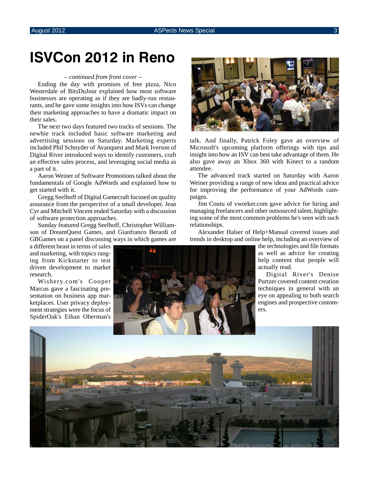# **ISVCon 2012 in Reno**

#### *– continued from front cover –*

Ending the day with promises of free pizza, Nico Westerdale of BitsDuJour explained how most software businesses are operating as if they are badly-run restaurants, and he gave some insights into how ISVs can change their marketing approaches to have a dramatic impact on their sales.

The next two days featured two tracks of sessions. The newbie track included basic software marketing and advertising sessions on Saturday. Marketing experts included Phil Schnyder of Avanquest and Mark Iverson of Digital River introduced ways to identify customers, craft an effective sales process, and leveraging social media as a part of it.

Aaron Weiner of Software Promotions talked about the fundamentals of Google AdWords and explained how to get started with it.

Gregg Seelhoff of Digital Gamecraft focused on quality assurance from the perspective of a small developer. Jean Cyr and Mitchell Vincent ended Saturday with a discussion of software protection approaches.

Sunday featured Gregg Seelhoff, Christopher Williamson of DreamQuest Games, and Gianfranco Berardi of GBGames on a panel discussing ways in which games are

a different beast in terms of sales and marketing, with topics ranging from Kickstarter to test driven development to market research.

Wishery.com's Cooper Marcus gave a fascinating presentation on business app marketplaces. User privacy deployment strategies were the focus of SpiderOak's Ethan Oberman's



talk. And finally, Patrick Foley gave an overview of Microsoft's upcoming platform offerings with tips and insight into how an ISV can best take advantage of them. He also gave away an Xbox 360 with Kinect to a random attendee.

The advanced track started on Saturday with Aaron Weiner providing a range of new ideas and practical advice for improving the performance of your AdWords campaigns.

Jim Coutu of vworker.com gave advice for hiring and managing freelancers and other outsourced talent, highlighting some of the most common problems he's seen with such relationships.

Alexander Halser of Help+Manual covered issues and trends in desktop and online help, including an overview of

> the technologies and file formats as well as advice for creating help content that people will actually read.

> Digital River's Denise Purtzer covered content creation techniques in general with an eye on appealing to both search engines and prospective customers.



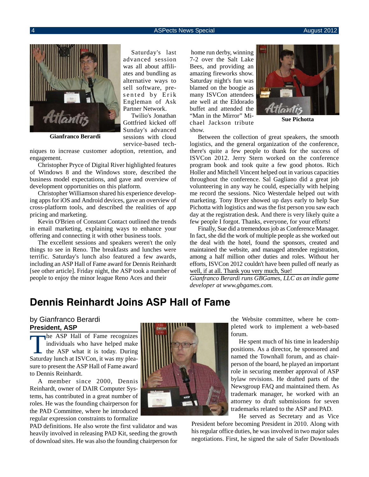#### **4** ASPects News Special August 2012 **ASPects News Special** August 2012



**Gianfranco Berardi**

niques to increase customer adoption, retention, and engagement.

Christopher Pryce of Digital River highlighted features of Windows 8 and the Windows store, described the business model expectations, and gave and overview of development opportunities on this platform.

Christopher Williamson shared his experience developing apps for iOS and Android devices, gave an overview of cross-platform tools, and described the realities of app pricing and marketing.

Kevin O'Brien of Constant Contact outlined the trends in email marketing, explaining ways to enhance your offering and connecting it with other business tools.

The excellent sessions and speakers weren't the only things to see in Reno. The breakfasts and lunches were terrific. Saturday's lunch also featured a few awards, including an ASP Hall of Fame award for Dennis Reinhardt [see other article]. Friday night, the ASP took a number of people to enjoy the minor league Reno Aces and their

Saturday's last advanced session was all about affiliates and bundling as alternative ways to sell software, presented by Erik Engleman of Ask Partner Network.

Twilio's Jonathan Gottfried kicked off Sunday's advanced sessions with cloud service-based tech-

 home run derby, winning 7-2 over the Salt Lake Bees, and providing an amazing fireworks show. Saturday night's fun was blamed on the boogie as many ISVCon attendees ate well at the Eldorado buffet and attended the "Man in the Mirror" Michael Jackson tribute show.



**Sue Pichotta**

Between the collection of great speakers, the smooth logistics, and the general organization of the conference, there's quite a few people to thank for the success of ISVCon 2012. Jerry Stern worked on the conference program book and took quite a few good photos. Rich Holler and Mitchell Vincent helped out in various capacities throughout the conference. Sal Gagliano did a great job volunteering in any way he could, especially with helping me record the sessions. Nico Westerdale helped out with marketing. Tony Bryer showed up days early to help Sue Pichotta with logistics and was the fist person you saw each day at the registration desk. And there is very likely quite a few people I forgot. Thanks, everyone, for your efforts!

Finally, Sue did a tremendous job as Conference Manager. In fact, she did the work of multiple people as she worked out the deal with the hotel, found the sponsors, created and maintained the website, and managed attendee registration, among a half million other duties and roles. Without her efforts, ISVCon 2012 couldn't have been pulled off nearly as well, if at all. Thank you very much, Sue!

*Gianfranco Berardi runs GBGames, LLC as an indie game developer at [www.gbgames.com.](http://www.gbgames.com)*

### **Dennis Reinhardt Joins ASP Hall of Fame**

#### by Gianfranco Berardi **President, ASP**

The ASP Hall of Fame recognizes<br>
individuals who have helped make<br>
the ASP what it is today. During<br>
Seturday lungh at ISVCon it was my place individuals who have helped make Saturday lunch at ISVCon, it was my pleasure to present the ASP Hall of Fame award to Dennis Reinhardt.

A member since 2000, Dennis Reinhardt, owner of DAIR Computer Systems, has contributed in a great number of roles. He was the founding chairperson for the PAD Committee, where he introduced regular expression constraints to formalize

PAD definitions. He also wrote the first validator and was heavily involved in releasing PAD Kit, seeding the growth of download sites. He was also the founding chairperson for



the Website committee, where he completed work to implement a web-based forum.

He spent much of his time in leadership positions. As a director, he sponsored and named the Townhall forum, and as chairperson of the board, he played an important role in securing member approval of ASP bylaw revisions. He drafted parts of the Newsgroup FAQ and maintained them. As trademark manager, he worked with an attorney to draft submissions for seven trademarks related to the ASP and PAD.

He served as Secretary and as Vice

President before becoming President in 2010. Along with his regular office duties, he was involved in two major sales negotiations. First, he signed the sale of Safer Downloads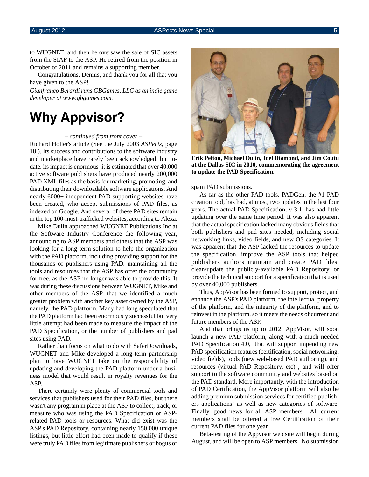to WUGNET, and then he oversaw the sale of SIC assets from the SIAF to the ASP. He retired from the position in October of 2011 and remains a supporting member.

Congratulations, Dennis, and thank you for all that you have given to the ASP!

*Gianfranco Berardi runs GBGames, LLC as an indie game developer at [www.gbgames.com.](http://www.gbgames.com)*

# **Why Appvisor?**

#### *– continued from front cover –*

Richard Holler's article (See the July 2003 *ASPects*, page 18.). Its success and contributions to the software industry and marketplace have rarely been acknowledged, but todate, its impact is enormous–it is estimated that over 40,000 active software publishers have produced nearly 200,000 PAD XML files as the basis for marketing, promoting, and distributing their downloadable software applications. And nearly 6000+ independent PAD-supporting websites have been created, who accept submissions of PAD files, as indexed on Google. And several of these PAD sites remain in the top 100-most-trafficked websites, according to Alexa.

Mike Dulin approached WUGNET Publications Inc at the Software Industry Conference the following year, announcing to ASP members and others that the ASP was looking for a long term solution to help the organization with the PAD platform, including providing support for the thousands of publishers using PAD, maintaining all the tools and resources that the ASP has offer the community for free, as the ASP no longer was able to provide this. It was during these discussions between WUGNET, Mike and other members of the ASP, that we identified a much greater problem with another key asset owned by the ASP, namely, the PAD platform. Many had long speculated that the PAD platform had been enormously successful but very little attempt had been made to measure the impact of the PAD Specification, or the number of publishers and pad sites using PAD.

Rather than focus on what to do with SaferDownloads, WUGNET and Mike developed a long-term partnership plan to have WUGNET take on the responsibility of updating and developing the PAD platform under a business model that would result in royalty revenues for the ASP.

There certainly were plenty of commercial tools and services that publishers used for their PAD files, but there wasn't any program in place at the ASP to collect, track, or measure who was using the PAD Specification or ASPrelated PAD tools or resources. What did exist was the ASP's PAD Repository, containing nearly 150,000 unique listings, but little effort had been made to qualify if these were truly PAD files from legitimate publishers or bogus or



**Erik Pelton, Michael Dulin, Joel Diamond, and Jim Coutu at the Dallas SIC in 2010, commemorating the agreement to update the PAD Specification**.

spam PAD submissions.

As far as the other PAD tools, PADGen, the #1 PAD creation tool, has had, at most, two updates in the last four years. The actual PAD Specification, v 3.1, has had little updating over the same time period. It was also apparent that the actual specification lacked many obvious fields that both publishers and pad sites needed, including social networking links, video fields, and new OS categories. It was apparent that the ASP lacked the resources to update the specification, improve the ASP tools that helped publishers authors maintain and create PAD files, clean/update the publicly-available PAD Repository, or provide the technical support for a specification that is used by over 40,000 publishers.

Thus, AppVisor has been formed to support, protect, and enhance the ASP's PAD platform, the intellectual property of the platform, and the integrity of the platform, and to reinvest in the platform, so it meets the needs of current and future members of the ASP.

And that brings us up to 2012. AppVisor, will soon launch a new PAD platform, along with a much needed PAD Specification 4.0, that will support impending new PAD specification features (certification, social networking, video fields), tools (new web-based PAD authoring), and resources (virtual PAD Repository, etc) , and will offer support to the software community and websites based on the PAD standard. More importantly, with the introduction of PAD Certification, the AppVisor platform will also be adding premium submission services for certified publishers applications' as well as new categories of software. Finally, good news for all ASP members . All current members shall be offered a free Certification of their current PAD files for one year.

Beta-testing of the Appvisor web site will begin during August, and will be open to ASP members. No submission